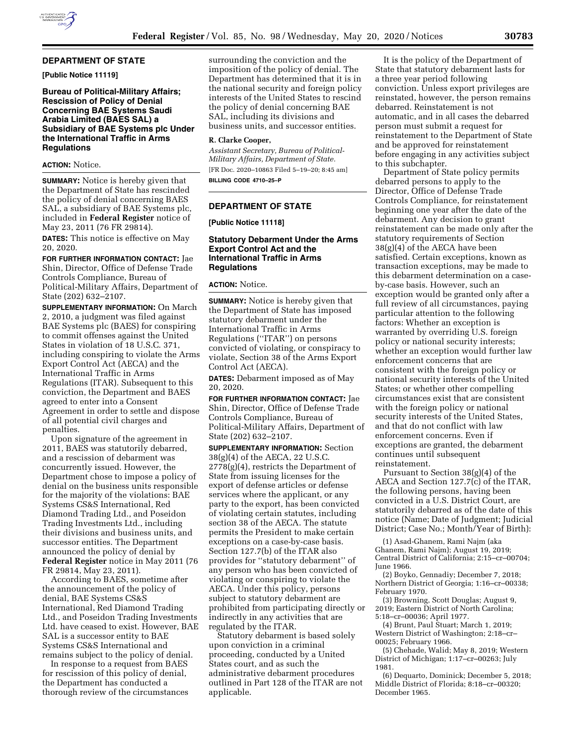### **DEPARTMENT OF STATE**

**[Public Notice 11119]** 

**Bureau of Political-Military Affairs; Rescission of Policy of Denial Concerning BAE Systems Saudi Arabia Limited (BAES SAL) a Subsidiary of BAE Systems plc Under the International Traffic in Arms Regulations** 

## **ACTION:** Notice.

**SUMMARY:** Notice is hereby given that the Department of State has rescinded the policy of denial concerning BAES SAL, a subsidiary of BAE Systems plc, included in **Federal Register** notice of May 23, 2011 (76 FR 29814).

**DATES:** This notice is effective on May 20, 2020.

**FOR FURTHER INFORMATION CONTACT:** Jae Shin, Director, Office of Defense Trade Controls Compliance, Bureau of Political-Military Affairs, Department of State (202) 632–2107.

**SUPPLEMENTARY INFORMATION:** On March 2, 2010, a judgment was filed against BAE Systems plc (BAES) for conspiring to commit offenses against the United States in violation of 18 U.S.C. 371, including conspiring to violate the Arms Export Control Act (AECA) and the International Traffic in Arms Regulations (ITAR). Subsequent to this conviction, the Department and BAES agreed to enter into a Consent Agreement in order to settle and dispose of all potential civil charges and penalties.

Upon signature of the agreement in 2011, BAES was statutorily debarred, and a rescission of debarment was concurrently issued. However, the Department chose to impose a policy of denial on the business units responsible for the majority of the violations: BAE Systems CS&S International, Red Diamond Trading Ltd., and Poseidon Trading Investments Ltd., including their divisions and business units, and successor entities. The Department announced the policy of denial by **Federal Register** notice in May 2011 (76 FR 29814, May 23, 2011).

According to BAES, sometime after the announcement of the policy of denial, BAE Systems CS&S International, Red Diamond Trading Ltd., and Poseidon Trading Investments Ltd. have ceased to exist. However, BAE SAL is a successor entity to BAE Systems CS&S International and remains subject to the policy of denial.

In response to a request from BAES for rescission of this policy of denial, the Department has conducted a thorough review of the circumstances surrounding the conviction and the imposition of the policy of denial. The Department has determined that it is in the national security and foreign policy interests of the United States to rescind the policy of denial concerning BAE SAL, including its divisions and business units, and successor entities.

#### **R. Clarke Cooper,**

*Assistant Secretary, Bureau of Political-Military Affairs, Department of State.*  [FR Doc. 2020–10863 Filed 5–19–20; 8:45 am]

**BILLING CODE 4710–25–P** 

# **DEPARTMENT OF STATE**

**[Public Notice 11118]** 

### **Statutory Debarment Under the Arms Export Control Act and the International Traffic in Arms Regulations**

#### **ACTION:** Notice.

**SUMMARY:** Notice is hereby given that the Department of State has imposed statutory debarment under the International Traffic in Arms Regulations (''ITAR'') on persons convicted of violating, or conspiracy to violate, Section 38 of the Arms Export Control Act (AECA).

**DATES:** Debarment imposed as of May 20, 2020.

**FOR FURTHER INFORMATION CONTACT:** Jae Shin, Director, Office of Defense Trade Controls Compliance, Bureau of Political-Military Affairs, Department of State (202) 632–2107.

**SUPPLEMENTARY INFORMATION:** Section 38(g)(4) of the AECA, 22 U.S.C. 2778(g)(4), restricts the Department of State from issuing licenses for the export of defense articles or defense services where the applicant, or any party to the export, has been convicted of violating certain statutes, including section 38 of the AECA. The statute permits the President to make certain exceptions on a case-by-case basis. Section 127.7(b) of the ITAR also provides for ''statutory debarment'' of any person who has been convicted of violating or conspiring to violate the AECA. Under this policy, persons subject to statutory debarment are prohibited from participating directly or indirectly in any activities that are regulated by the ITAR.

Statutory debarment is based solely upon conviction in a criminal proceeding, conducted by a United States court, and as such the administrative debarment procedures outlined in Part 128 of the ITAR are not applicable.

It is the policy of the Department of State that statutory debarment lasts for a three year period following conviction. Unless export privileges are reinstated, however, the person remains debarred. Reinstatement is not automatic, and in all cases the debarred person must submit a request for reinstatement to the Department of State and be approved for reinstatement before engaging in any activities subject to this subchapter.

Department of State policy permits debarred persons to apply to the Director, Office of Defense Trade Controls Compliance, for reinstatement beginning one year after the date of the debarment. Any decision to grant reinstatement can be made only after the statutory requirements of Section 38(g)(4) of the AECA have been satisfied. Certain exceptions, known as transaction exceptions, may be made to this debarment determination on a caseby-case basis. However, such an exception would be granted only after a full review of all circumstances, paying particular attention to the following factors: Whether an exception is warranted by overriding U.S. foreign policy or national security interests; whether an exception would further law enforcement concerns that are consistent with the foreign policy or national security interests of the United States; or whether other compelling circumstances exist that are consistent with the foreign policy or national security interests of the United States, and that do not conflict with law enforcement concerns. Even if exceptions are granted, the debarment continues until subsequent reinstatement.

Pursuant to Section 38(g)(4) of the AECA and Section 127.7(c) of the ITAR, the following persons, having been convicted in a U.S. District Court, are statutorily debarred as of the date of this notice (Name; Date of Judgment; Judicial District; Case No.; Month/Year of Birth):

(1) Asad-Ghanem, Rami Najm (aka Ghanem, Rami Najm); August 19, 2019; Central District of California; 2:15–cr–00704; June 1966.

(2) Boyko, Gennadiy; December 7, 2018; Northern District of Georgia; 1:16–cr–00338; February 1970.

(3) Browning, Scott Douglas; August 9, 2019; Eastern District of North Carolina; 5:18–cr–00036; April 1977.

(4) Brunt, Paul Stuart; March 1, 2019; Western District of Washington; 2:18–cr– 00025; February 1966.

(5) Chehade, Walid; May 8, 2019; Western District of Michigan; 1:17–cr–00263; July 1981.

(6) Dequarto, Dominick; December 5, 2018; Middle District of Florida; 8:18–cr–00320; December 1965.